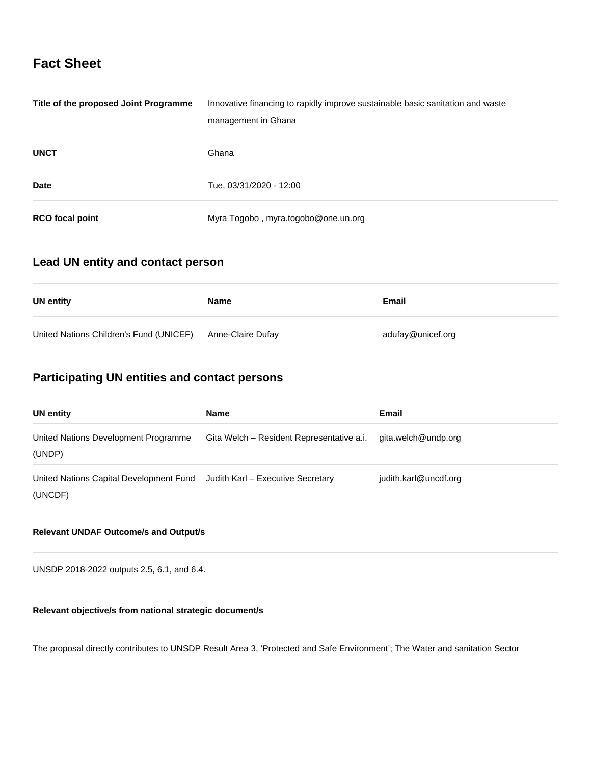# **Fact Sheet**

| Title of the proposed Joint Programme | Innovative financing to rapidly improve sustainable basic sanitation and waste<br>management in Ghana |
|---------------------------------------|-------------------------------------------------------------------------------------------------------|
| <b>UNCT</b>                           | Ghana                                                                                                 |
| <b>Date</b>                           | Tue, 03/31/2020 - 12:00                                                                               |
| <b>RCO</b> focal point                | Myra Togobo, myra.togobo@one.un.org                                                                   |

## **Lead UN entity and contact person**

| UN entity                               | Name              | Email             |
|-----------------------------------------|-------------------|-------------------|
| United Nations Children's Fund (UNICEF) | Anne-Claire Dufay | adufay@unicef.org |

# **Participating UN entities and contact persons**

| <b>UN entity</b>                                                                     | Name                                      | <b>Email</b>          |
|--------------------------------------------------------------------------------------|-------------------------------------------|-----------------------|
| United Nations Development Programme<br>(UNDP)                                       | Gita Welch - Resident Representative a.i. | gita.welch@undp.org   |
| United Nations Capital Development Fund Judith Karl - Executive Secretary<br>(UNCDF) |                                           | judith.karl@uncdf.org |

## **Relevant UNDAF Outcome/s and Output/s**

UNSDP 2018-2022 outputs 2.5, 6.1, and 6.4.

## **Relevant objective/s from national strategic document/s**

The proposal directly contributes to UNSDP Result Area 3, 'Protected and Safe Environment'; The Water and sanitation Sector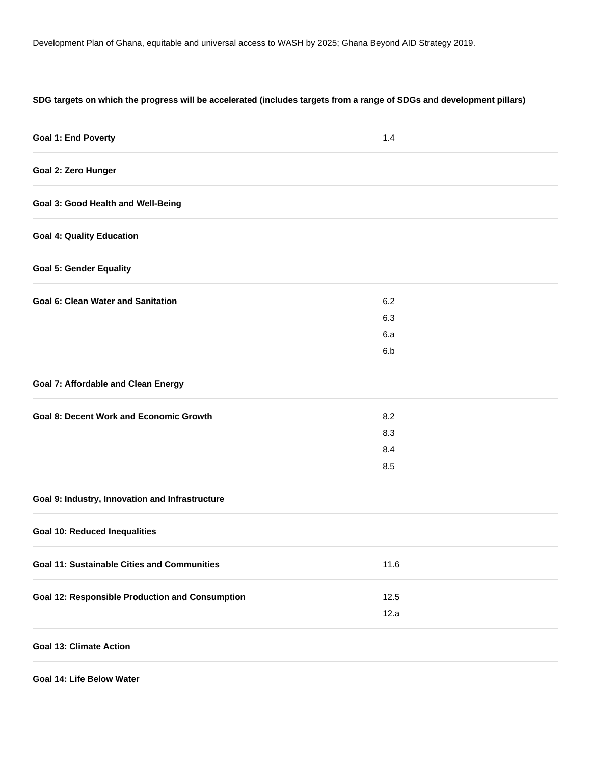## **SDG targets on which the progress will be accelerated (includes targets from a range of SDGs and development pillars)**

| <b>Goal 1: End Poverty</b>                             | 1.4  |  |
|--------------------------------------------------------|------|--|
| Goal 2: Zero Hunger                                    |      |  |
| <b>Goal 3: Good Health and Well-Being</b>              |      |  |
| <b>Goal 4: Quality Education</b>                       |      |  |
| <b>Goal 5: Gender Equality</b>                         |      |  |
| <b>Goal 6: Clean Water and Sanitation</b>              | 6.2  |  |
|                                                        | 6.3  |  |
|                                                        | 6.a  |  |
|                                                        | 6.b  |  |
| <b>Goal 7: Affordable and Clean Energy</b>             |      |  |
| <b>Goal 8: Decent Work and Economic Growth</b>         | 8.2  |  |
|                                                        | 8.3  |  |
|                                                        | 8.4  |  |
|                                                        | 8.5  |  |
| Goal 9: Industry, Innovation and Infrastructure        |      |  |
| <b>Goal 10: Reduced Inequalities</b>                   |      |  |
| <b>Goal 11: Sustainable Cities and Communities</b>     | 11.6 |  |
| <b>Goal 12: Responsible Production and Consumption</b> | 12.5 |  |
|                                                        | 12.a |  |
| <b>Goal 13: Climate Action</b>                         |      |  |
| Goal 14: Life Below Water                              |      |  |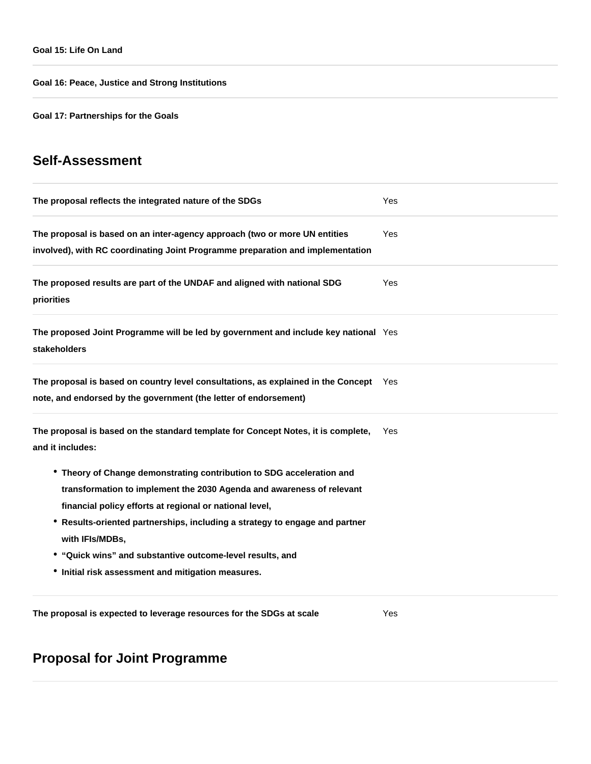**Goal 16: Peace, Justice and Strong Institutions**

**Goal 17: Partnerships for the Goals**

# **Self-Assessment**

| The proposal reflects the integrated nature of the SDGs                                                                                                                                                                                                                                                                                                                                                                        | Yes        |  |
|--------------------------------------------------------------------------------------------------------------------------------------------------------------------------------------------------------------------------------------------------------------------------------------------------------------------------------------------------------------------------------------------------------------------------------|------------|--|
| The proposal is based on an inter-agency approach (two or more UN entities<br>involved), with RC coordinating Joint Programme preparation and implementation                                                                                                                                                                                                                                                                   | Yes        |  |
| The proposed results are part of the UNDAF and aligned with national SDG<br>priorities                                                                                                                                                                                                                                                                                                                                         | Yes        |  |
| The proposed Joint Programme will be led by government and include key national Yes<br>stakeholders                                                                                                                                                                                                                                                                                                                            |            |  |
| The proposal is based on country level consultations, as explained in the Concept<br>note, and endorsed by the government (the letter of endorsement)                                                                                                                                                                                                                                                                          | <b>Yes</b> |  |
| The proposal is based on the standard template for Concept Notes, it is complete,<br>and it includes:                                                                                                                                                                                                                                                                                                                          | Yes        |  |
| • Theory of Change demonstrating contribution to SDG acceleration and<br>transformation to implement the 2030 Agenda and awareness of relevant<br>financial policy efforts at regional or national level,<br>* Results-oriented partnerships, including a strategy to engage and partner<br>with IFIs/MDBs,<br>• "Quick wins" and substantive outcome-level results, and<br>• Initial risk assessment and mitigation measures. |            |  |
| The proposal is expected to leverage resources for the SDGs at scale                                                                                                                                                                                                                                                                                                                                                           | Yes        |  |

# **Proposal for Joint Programme**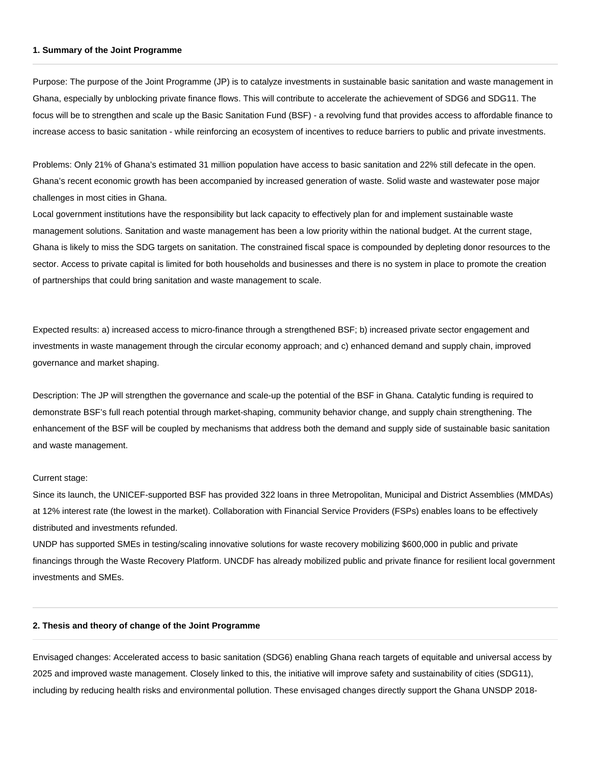#### **1. Summary of the Joint Programme**

Purpose: The purpose of the Joint Programme (JP) is to catalyze investments in sustainable basic sanitation and waste management in Ghana, especially by unblocking private finance flows. This will contribute to accelerate the achievement of SDG6 and SDG11. The focus will be to strengthen and scale up the Basic Sanitation Fund (BSF) - a revolving fund that provides access to affordable finance to increase access to basic sanitation - while reinforcing an ecosystem of incentives to reduce barriers to public and private investments.

Problems: Only 21% of Ghana's estimated 31 million population have access to basic sanitation and 22% still defecate in the open. Ghana's recent economic growth has been accompanied by increased generation of waste. Solid waste and wastewater pose major challenges in most cities in Ghana.

Local government institutions have the responsibility but lack capacity to effectively plan for and implement sustainable waste management solutions. Sanitation and waste management has been a low priority within the national budget. At the current stage, Ghana is likely to miss the SDG targets on sanitation. The constrained fiscal space is compounded by depleting donor resources to the sector. Access to private capital is limited for both households and businesses and there is no system in place to promote the creation of partnerships that could bring sanitation and waste management to scale.

Expected results: a) increased access to micro-finance through a strengthened BSF; b) increased private sector engagement and investments in waste management through the circular economy approach; and c) enhanced demand and supply chain, improved governance and market shaping.

Description: The JP will strengthen the governance and scale-up the potential of the BSF in Ghana. Catalytic funding is required to demonstrate BSF's full reach potential through market-shaping, community behavior change, and supply chain strengthening. The enhancement of the BSF will be coupled by mechanisms that address both the demand and supply side of sustainable basic sanitation and waste management.

#### Current stage:

Since its launch, the UNICEF-supported BSF has provided 322 loans in three Metropolitan, Municipal and District Assemblies (MMDAs) at 12% interest rate (the lowest in the market). Collaboration with Financial Service Providers (FSPs) enables loans to be effectively distributed and investments refunded.

UNDP has supported SMEs in testing/scaling innovative solutions for waste recovery mobilizing \$600,000 in public and private financings through the Waste Recovery Platform. UNCDF has already mobilized public and private finance for resilient local government investments and SMEs.

#### **2. Thesis and theory of change of the Joint Programme**

Envisaged changes: Accelerated access to basic sanitation (SDG6) enabling Ghana reach targets of equitable and universal access by 2025 and improved waste management. Closely linked to this, the initiative will improve safety and sustainability of cities (SDG11), including by reducing health risks and environmental pollution. These envisaged changes directly support the Ghana UNSDP 2018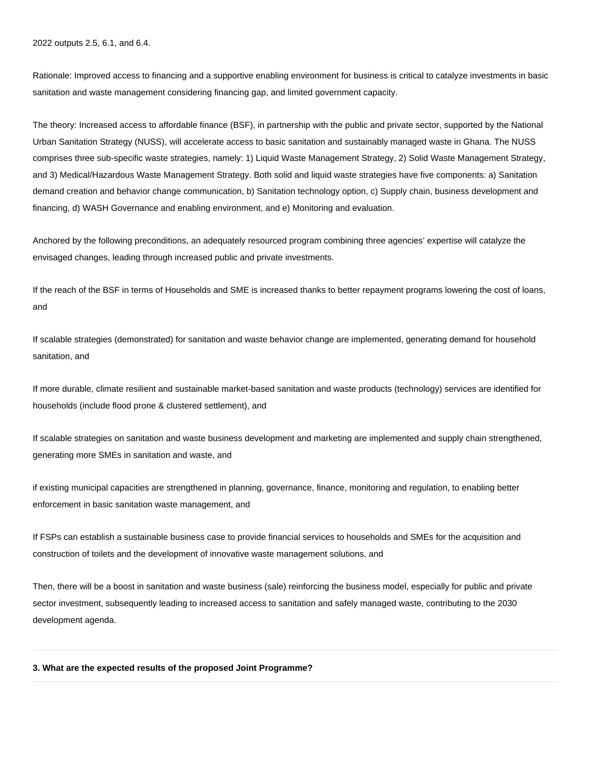2022 outputs 2.5, 6.1, and 6.4.

Rationale: Improved access to financing and a supportive enabling environment for business is critical to catalyze investments in basic sanitation and waste management considering financing gap, and limited government capacity.

The theory: Increased access to affordable finance (BSF), in partnership with the public and private sector, supported by the National Urban Sanitation Strategy (NUSS), will accelerate access to basic sanitation and sustainably managed waste in Ghana. The NUSS comprises three sub-specific waste strategies, namely: 1) Liquid Waste Management Strategy, 2) Solid Waste Management Strategy, and 3) Medical/Hazardous Waste Management Strategy. Both solid and liquid waste strategies have five components: a) Sanitation demand creation and behavior change communication, b) Sanitation technology option, c) Supply chain, business development and financing, d) WASH Governance and enabling environment, and e) Monitoring and evaluation.

Anchored by the following preconditions, an adequately resourced program combining three agencies' expertise will catalyze the envisaged changes, leading through increased public and private investments.

If the reach of the BSF in terms of Households and SME is increased thanks to better repayment programs lowering the cost of loans, and

If scalable strategies (demonstrated) for sanitation and waste behavior change are implemented, generating demand for household sanitation, and

If more durable, climate resilient and sustainable market-based sanitation and waste products (technology) services are identified for households (include flood prone & clustered settlement), and

If scalable strategies on sanitation and waste business development and marketing are implemented and supply chain strengthened, generating more SMEs in sanitation and waste, and

if existing municipal capacities are strengthened in planning, governance, finance, monitoring and regulation, to enabling better enforcement in basic sanitation waste management, and

If FSPs can establish a sustainable business case to provide financial services to households and SMEs for the acquisition and construction of toilets and the development of innovative waste management solutions, and

Then, there will be a boost in sanitation and waste business (sale) reinforcing the business model, especially for public and private sector investment, subsequently leading to increased access to sanitation and safely managed waste, contributing to the 2030 development agenda.

#### **3. What are the expected results of the proposed Joint Programme?**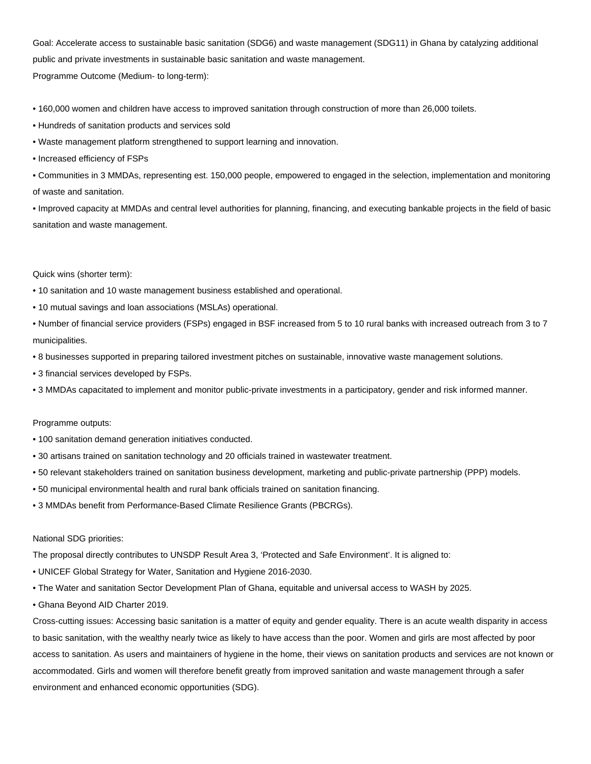Goal: Accelerate access to sustainable basic sanitation (SDG6) and waste management (SDG11) in Ghana by catalyzing additional public and private investments in sustainable basic sanitation and waste management. Programme Outcome (Medium- to long-term):

• 160,000 women and children have access to improved sanitation through construction of more than 26,000 toilets.

- Hundreds of sanitation products and services sold
- Waste management platform strengthened to support learning and innovation.
- Increased efficiency of FSPs

• Communities in 3 MMDAs, representing est. 150,000 people, empowered to engaged in the selection, implementation and monitoring of waste and sanitation.

• Improved capacity at MMDAs and central level authorities for planning, financing, and executing bankable projects in the field of basic sanitation and waste management.

Quick wins (shorter term):

- 10 sanitation and 10 waste management business established and operational.
- 10 mutual savings and loan associations (MSLAs) operational.
- Number of financial service providers (FSPs) engaged in BSF increased from 5 to 10 rural banks with increased outreach from 3 to 7 municipalities.
- 8 businesses supported in preparing tailored investment pitches on sustainable, innovative waste management solutions.
- 3 financial services developed by FSPs.
- 3 MMDAs capacitated to implement and monitor public-private investments in a participatory, gender and risk informed manner.

#### Programme outputs:

- 100 sanitation demand generation initiatives conducted.
- 30 artisans trained on sanitation technology and 20 officials trained in wastewater treatment.
- 50 relevant stakeholders trained on sanitation business development, marketing and public-private partnership (PPP) models.
- 50 municipal environmental health and rural bank officials trained on sanitation financing.
- 3 MMDAs benefit from Performance-Based Climate Resilience Grants (PBCRGs).

#### National SDG priorities:

The proposal directly contributes to UNSDP Result Area 3, 'Protected and Safe Environment'. It is aligned to:

- UNICEF Global Strategy for Water, Sanitation and Hygiene 2016-2030.
- The Water and sanitation Sector Development Plan of Ghana, equitable and universal access to WASH by 2025.
- Ghana Beyond AID Charter 2019.

Cross-cutting issues: Accessing basic sanitation is a matter of equity and gender equality. There is an acute wealth disparity in access to basic sanitation, with the wealthy nearly twice as likely to have access than the poor. Women and girls are most affected by poor access to sanitation. As users and maintainers of hygiene in the home, their views on sanitation products and services are not known or accommodated. Girls and women will therefore benefit greatly from improved sanitation and waste management through a safer environment and enhanced economic opportunities (SDG).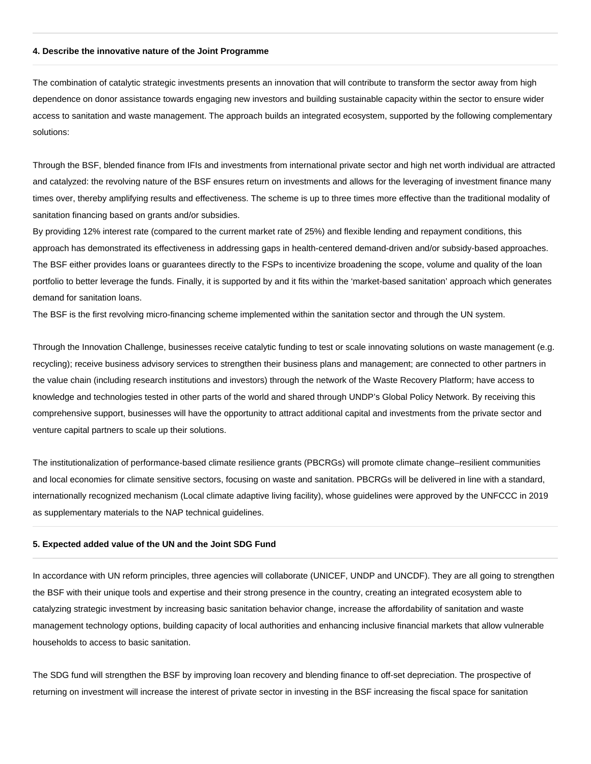#### **4. Describe the innovative nature of the Joint Programme**

The combination of catalytic strategic investments presents an innovation that will contribute to transform the sector away from high dependence on donor assistance towards engaging new investors and building sustainable capacity within the sector to ensure wider access to sanitation and waste management. The approach builds an integrated ecosystem, supported by the following complementary solutions:

Through the BSF, blended finance from IFIs and investments from international private sector and high net worth individual are attracted and catalyzed: the revolving nature of the BSF ensures return on investments and allows for the leveraging of investment finance many times over, thereby amplifying results and effectiveness. The scheme is up to three times more effective than the traditional modality of sanitation financing based on grants and/or subsidies.

By providing 12% interest rate (compared to the current market rate of 25%) and flexible lending and repayment conditions, this approach has demonstrated its effectiveness in addressing gaps in health-centered demand-driven and/or subsidy-based approaches. The BSF either provides loans or guarantees directly to the FSPs to incentivize broadening the scope, volume and quality of the loan portfolio to better leverage the funds. Finally, it is supported by and it fits within the 'market-based sanitation' approach which generates demand for sanitation loans.

The BSF is the first revolving micro-financing scheme implemented within the sanitation sector and through the UN system.

Through the Innovation Challenge, businesses receive catalytic funding to test or scale innovating solutions on waste management (e.g. recycling); receive business advisory services to strengthen their business plans and management; are connected to other partners in the value chain (including research institutions and investors) through the network of the Waste Recovery Platform; have access to knowledge and technologies tested in other parts of the world and shared through UNDP's Global Policy Network. By receiving this comprehensive support, businesses will have the opportunity to attract additional capital and investments from the private sector and venture capital partners to scale up their solutions.

The institutionalization of performance-based climate resilience grants (PBCRGs) will promote climate change–resilient communities and local economies for climate sensitive sectors, focusing on waste and sanitation. PBCRGs will be delivered in line with a standard, internationally recognized mechanism (Local climate adaptive living facility), whose guidelines were approved by the UNFCCC in 2019 as supplementary materials to the NAP technical guidelines.

#### **5. Expected added value of the UN and the Joint SDG Fund**

In accordance with UN reform principles, three agencies will collaborate (UNICEF, UNDP and UNCDF). They are all going to strengthen the BSF with their unique tools and expertise and their strong presence in the country, creating an integrated ecosystem able to catalyzing strategic investment by increasing basic sanitation behavior change, increase the affordability of sanitation and waste management technology options, building capacity of local authorities and enhancing inclusive financial markets that allow vulnerable households to access to basic sanitation.

The SDG fund will strengthen the BSF by improving loan recovery and blending finance to off-set depreciation. The prospective of returning on investment will increase the interest of private sector in investing in the BSF increasing the fiscal space for sanitation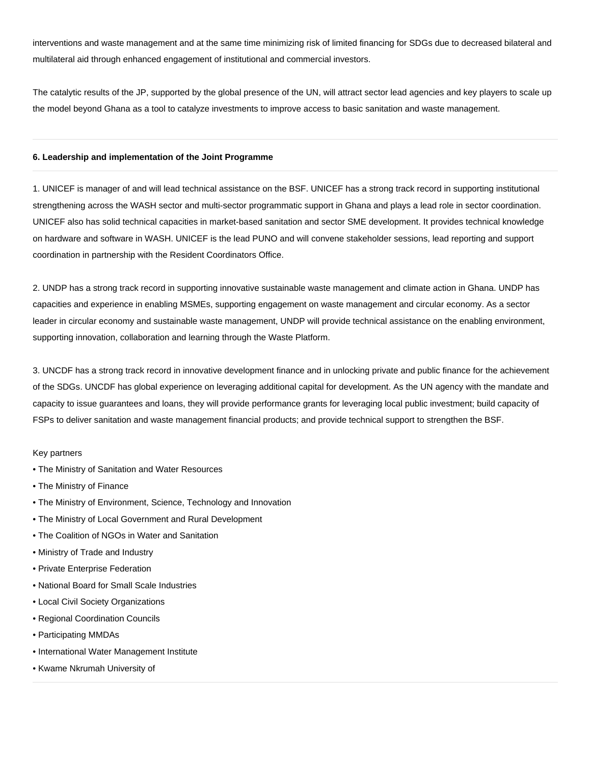interventions and waste management and at the same time minimizing risk of limited financing for SDGs due to decreased bilateral and multilateral aid through enhanced engagement of institutional and commercial investors.

The catalytic results of the JP, supported by the global presence of the UN, will attract sector lead agencies and key players to scale up the model beyond Ghana as a tool to catalyze investments to improve access to basic sanitation and waste management.

#### **6. Leadership and implementation of the Joint Programme**

1. UNICEF is manager of and will lead technical assistance on the BSF. UNICEF has a strong track record in supporting institutional strengthening across the WASH sector and multi-sector programmatic support in Ghana and plays a lead role in sector coordination. UNICEF also has solid technical capacities in market-based sanitation and sector SME development. It provides technical knowledge on hardware and software in WASH. UNICEF is the lead PUNO and will convene stakeholder sessions, lead reporting and support coordination in partnership with the Resident Coordinators Office.

2. UNDP has a strong track record in supporting innovative sustainable waste management and climate action in Ghana. UNDP has capacities and experience in enabling MSMEs, supporting engagement on waste management and circular economy. As a sector leader in circular economy and sustainable waste management, UNDP will provide technical assistance on the enabling environment, supporting innovation, collaboration and learning through the Waste Platform.

3. UNCDF has a strong track record in innovative development finance and in unlocking private and public finance for the achievement of the SDGs. UNCDF has global experience on leveraging additional capital for development. As the UN agency with the mandate and capacity to issue guarantees and loans, they will provide performance grants for leveraging local public investment; build capacity of FSPs to deliver sanitation and waste management financial products; and provide technical support to strengthen the BSF.

#### Key partners

- The Ministry of Sanitation and Water Resources
- The Ministry of Finance
- The Ministry of Environment, Science, Technology and Innovation
- The Ministry of Local Government and Rural Development
- The Coalition of NGOs in Water and Sanitation
- Ministry of Trade and Industry
- Private Enterprise Federation
- National Board for Small Scale Industries
- Local Civil Society Organizations
- Regional Coordination Councils
- Participating MMDAs
- International Water Management Institute
- Kwame Nkrumah University of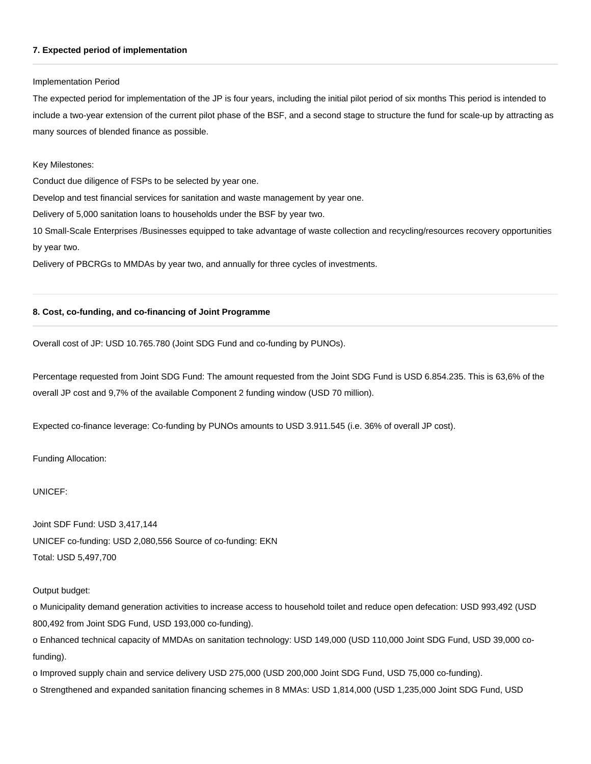#### **7. Expected period of implementation**

#### Implementation Period

The expected period for implementation of the JP is four years, including the initial pilot period of six months This period is intended to include a two-year extension of the current pilot phase of the BSF, and a second stage to structure the fund for scale-up by attracting as many sources of blended finance as possible.

#### Key Milestones:

Conduct due diligence of FSPs to be selected by year one.

Develop and test financial services for sanitation and waste management by year one.

Delivery of 5,000 sanitation loans to households under the BSF by year two.

10 Small-Scale Enterprises /Businesses equipped to take advantage of waste collection and recycling/resources recovery opportunities by year two.

Delivery of PBCRGs to MMDAs by year two, and annually for three cycles of investments.

#### **8. Cost, co-funding, and co-financing of Joint Programme**

Overall cost of JP: USD 10.765.780 (Joint SDG Fund and co-funding by PUNOs).

Percentage requested from Joint SDG Fund: The amount requested from the Joint SDG Fund is USD 6.854.235. This is 63,6% of the overall JP cost and 9,7% of the available Component 2 funding window (USD 70 million).

Expected co-finance leverage: Co-funding by PUNOs amounts to USD 3.911.545 (i.e. 36% of overall JP cost).

Funding Allocation:

UNICEF:

Joint SDF Fund: USD 3,417,144 UNICEF co-funding: USD 2,080,556 Source of co-funding: EKN Total: USD 5,497,700

Output budget:

o Municipality demand generation activities to increase access to household toilet and reduce open defecation: USD 993,492 (USD 800,492 from Joint SDG Fund, USD 193,000 co-funding).

o Enhanced technical capacity of MMDAs on sanitation technology: USD 149,000 (USD 110,000 Joint SDG Fund, USD 39,000 cofunding).

o Improved supply chain and service delivery USD 275,000 (USD 200,000 Joint SDG Fund, USD 75,000 co-funding).

o Strengthened and expanded sanitation financing schemes in 8 MMAs: USD 1,814,000 (USD 1,235,000 Joint SDG Fund, USD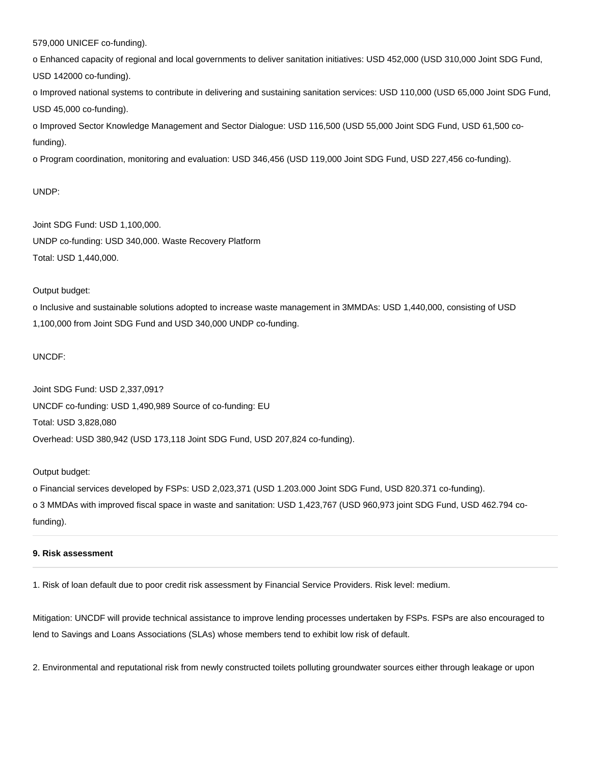579,000 UNICEF co-funding).

o Enhanced capacity of regional and local governments to deliver sanitation initiatives: USD 452,000 (USD 310,000 Joint SDG Fund, USD 142000 co-funding).

o Improved national systems to contribute in delivering and sustaining sanitation services: USD 110,000 (USD 65,000 Joint SDG Fund, USD 45,000 co-funding).

o Improved Sector Knowledge Management and Sector Dialogue: USD 116,500 (USD 55,000 Joint SDG Fund, USD 61,500 cofunding).

o Program coordination, monitoring and evaluation: USD 346,456 (USD 119,000 Joint SDG Fund, USD 227,456 co-funding).

#### UNDP:

Joint SDG Fund: USD 1,100,000. UNDP co-funding: USD 340,000. Waste Recovery Platform Total: USD 1,440,000.

#### Output budget:

o Inclusive and sustainable solutions adopted to increase waste management in 3MMDAs: USD 1,440,000, consisting of USD 1,100,000 from Joint SDG Fund and USD 340,000 UNDP co-funding.

#### UNCDF:

Joint SDG Fund: USD 2,337,091? UNCDF co-funding: USD 1,490,989 Source of co-funding: EU Total: USD 3,828,080 Overhead: USD 380,942 (USD 173,118 Joint SDG Fund, USD 207,824 co-funding).

## Output budget:

o Financial services developed by FSPs: USD 2,023,371 (USD 1.203.000 Joint SDG Fund, USD 820.371 co-funding). o 3 MMDAs with improved fiscal space in waste and sanitation: USD 1,423,767 (USD 960,973 joint SDG Fund, USD 462.794 cofunding).

#### **9. Risk assessment**

1. Risk of loan default due to poor credit risk assessment by Financial Service Providers. Risk level: medium.

Mitigation: UNCDF will provide technical assistance to improve lending processes undertaken by FSPs. FSPs are also encouraged to lend to Savings and Loans Associations (SLAs) whose members tend to exhibit low risk of default.

2. Environmental and reputational risk from newly constructed toilets polluting groundwater sources either through leakage or upon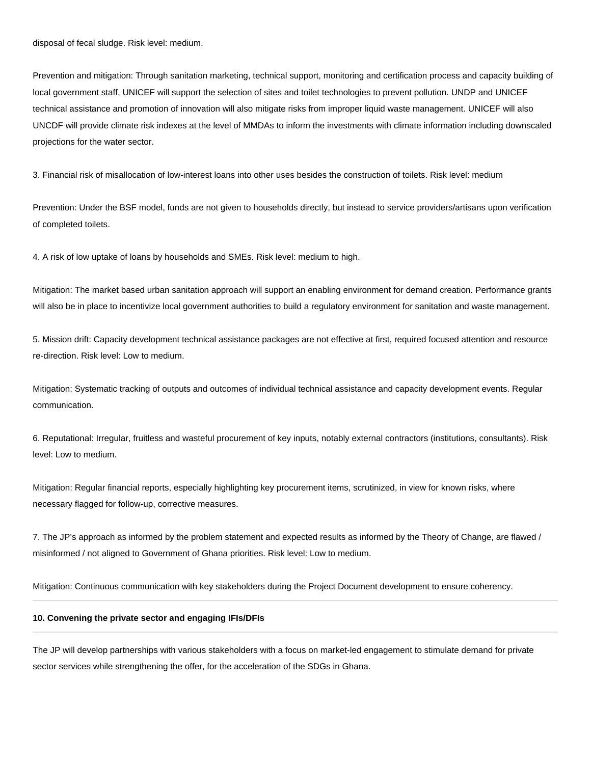disposal of fecal sludge. Risk level: medium.

Prevention and mitigation: Through sanitation marketing, technical support, monitoring and certification process and capacity building of local government staff, UNICEF will support the selection of sites and toilet technologies to prevent pollution. UNDP and UNICEF technical assistance and promotion of innovation will also mitigate risks from improper liquid waste management. UNICEF will also UNCDF will provide climate risk indexes at the level of MMDAs to inform the investments with climate information including downscaled projections for the water sector.

3. Financial risk of misallocation of low-interest loans into other uses besides the construction of toilets. Risk level: medium

Prevention: Under the BSF model, funds are not given to households directly, but instead to service providers/artisans upon verification of completed toilets.

4. A risk of low uptake of loans by households and SMEs. Risk level: medium to high.

Mitigation: The market based urban sanitation approach will support an enabling environment for demand creation. Performance grants will also be in place to incentivize local government authorities to build a regulatory environment for sanitation and waste management.

5. Mission drift: Capacity development technical assistance packages are not effective at first, required focused attention and resource re-direction. Risk level: Low to medium.

Mitigation: Systematic tracking of outputs and outcomes of individual technical assistance and capacity development events. Regular communication.

6. Reputational: Irregular, fruitless and wasteful procurement of key inputs, notably external contractors (institutions, consultants). Risk level: Low to medium.

Mitigation: Regular financial reports, especially highlighting key procurement items, scrutinized, in view for known risks, where necessary flagged for follow-up, corrective measures.

7. The JP's approach as informed by the problem statement and expected results as informed by the Theory of Change, are flawed / misinformed / not aligned to Government of Ghana priorities. Risk level: Low to medium.

Mitigation: Continuous communication with key stakeholders during the Project Document development to ensure coherency.

#### **10. Convening the private sector and engaging IFIs/DFIs**

The JP will develop partnerships with various stakeholders with a focus on market-led engagement to stimulate demand for private sector services while strengthening the offer, for the acceleration of the SDGs in Ghana.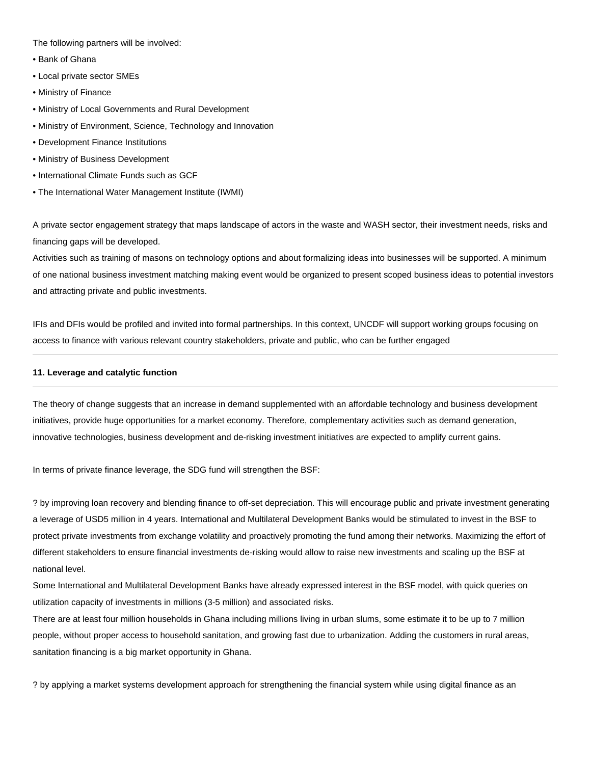The following partners will be involved:

- Bank of Ghana
- Local private sector SMEs
- Ministry of Finance
- Ministry of Local Governments and Rural Development
- Ministry of Environment, Science, Technology and Innovation
- Development Finance Institutions
- Ministry of Business Development
- International Climate Funds such as GCF
- The International Water Management Institute (IWMI)

A private sector engagement strategy that maps landscape of actors in the waste and WASH sector, their investment needs, risks and financing gaps will be developed.

Activities such as training of masons on technology options and about formalizing ideas into businesses will be supported. A minimum of one national business investment matching making event would be organized to present scoped business ideas to potential investors and attracting private and public investments.

IFIs and DFIs would be profiled and invited into formal partnerships. In this context, UNCDF will support working groups focusing on access to finance with various relevant country stakeholders, private and public, who can be further engaged

#### **11. Leverage and catalytic function**

The theory of change suggests that an increase in demand supplemented with an affordable technology and business development initiatives, provide huge opportunities for a market economy. Therefore, complementary activities such as demand generation, innovative technologies, business development and de-risking investment initiatives are expected to amplify current gains.

In terms of private finance leverage, the SDG fund will strengthen the BSF:

? by improving loan recovery and blending finance to off-set depreciation. This will encourage public and private investment generating a leverage of USD5 million in 4 years. International and Multilateral Development Banks would be stimulated to invest in the BSF to protect private investments from exchange volatility and proactively promoting the fund among their networks. Maximizing the effort of different stakeholders to ensure financial investments de-risking would allow to raise new investments and scaling up the BSF at national level.

Some International and Multilateral Development Banks have already expressed interest in the BSF model, with quick queries on utilization capacity of investments in millions (3-5 million) and associated risks.

There are at least four million households in Ghana including millions living in urban slums, some estimate it to be up to 7 million people, without proper access to household sanitation, and growing fast due to urbanization. Adding the customers in rural areas, sanitation financing is a big market opportunity in Ghana.

? by applying a market systems development approach for strengthening the financial system while using digital finance as an